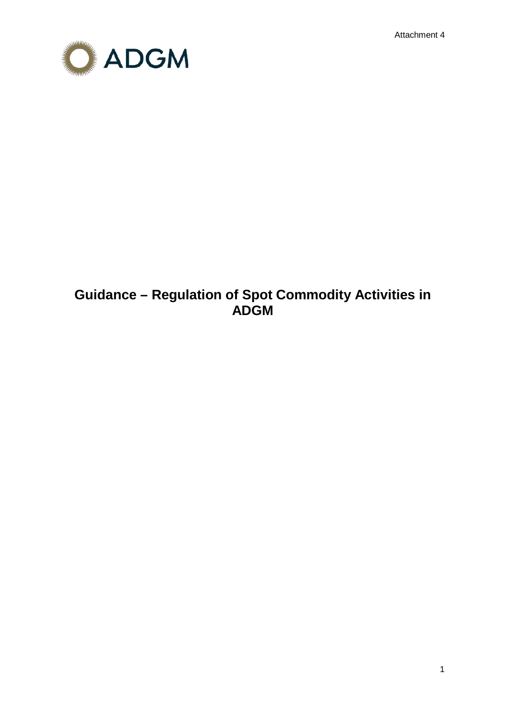Attachment 4



# **Guidance – Regulation of Spot Commodity Activities in ADGM**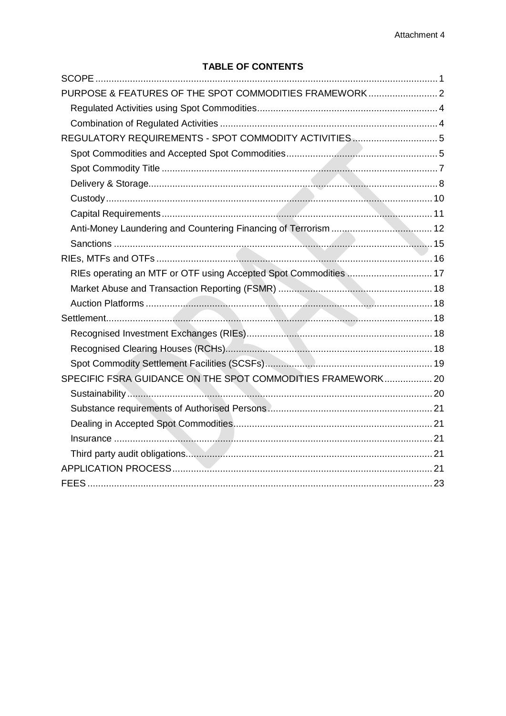## **TABLE OF CONTENTS**

| PURPOSE & FEATURES OF THE SPOT COMMODITIES FRAMEWORK 2           |  |
|------------------------------------------------------------------|--|
|                                                                  |  |
|                                                                  |  |
|                                                                  |  |
|                                                                  |  |
|                                                                  |  |
|                                                                  |  |
|                                                                  |  |
|                                                                  |  |
|                                                                  |  |
|                                                                  |  |
|                                                                  |  |
| RIEs operating an MTF or OTF using Accepted Spot Commodities  17 |  |
|                                                                  |  |
|                                                                  |  |
|                                                                  |  |
|                                                                  |  |
|                                                                  |  |
|                                                                  |  |
| SPECIFIC FSRA GUIDANCE ON THE SPOT COMMODITIES FRAMEWORK 20      |  |
|                                                                  |  |
|                                                                  |  |
|                                                                  |  |
|                                                                  |  |
|                                                                  |  |
|                                                                  |  |
|                                                                  |  |
|                                                                  |  |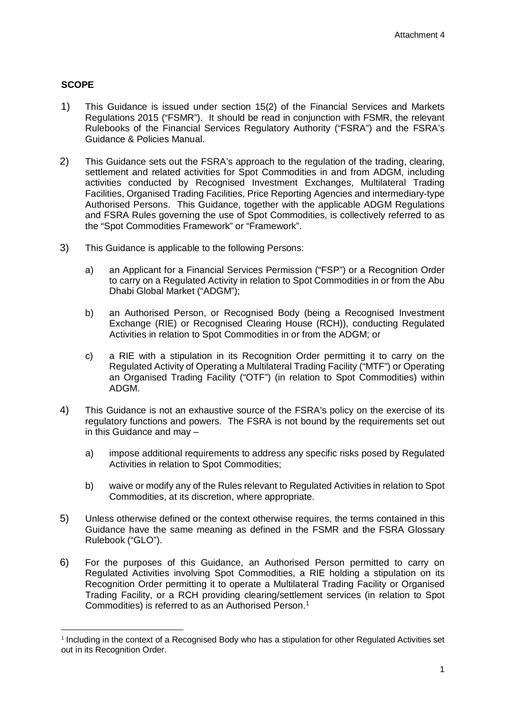## <span id="page-2-0"></span>**SCOPE**

- 1) This Guidance is issued under section 15(2) of the Financial Services and Markets Regulations 2015 ("FSMR"). It should be read in conjunction with FSMR, the relevant Rulebooks of the Financial Services Regulatory Authority ("FSRA") and the FSRA's Guidance & Policies Manual.
- 2) This Guidance sets out the FSRA's approach to the regulation of the trading, clearing, settlement and related activities for Spot Commodities in and from ADGM, including activities conducted by Recognised Investment Exchanges, Multilateral Trading Facilities, Organised Trading Facilities, Price Reporting Agencies and intermediary-type Authorised Persons. This Guidance, together with the applicable ADGM Regulations and FSRA Rules governing the use of Spot Commodities, is collectively referred to as the "Spot Commodities Framework" or "Framework".
- 3) This Guidance is applicable to the following Persons:
	- a) an Applicant for a Financial Services Permission ("FSP") or a Recognition Order to carry on a Regulated Activity in relation to Spot Commodities in or from the Abu Dhabi Global Market ("ADGM");
	- b) an Authorised Person, or Recognised Body (being a Recognised Investment Exchange (RIE) or Recognised Clearing House (RCH)), conducting Regulated Activities in relation to Spot Commodities in or from the ADGM; or
	- c) a RIE with a stipulation in its Recognition Order permitting it to carry on the Regulated Activity of Operating a Multilateral Trading Facility ("MTF") or Operating an Organised Trading Facility ("OTF") (in relation to Spot Commodities) within ADGM.
- 4) This Guidance is not an exhaustive source of the FSRA's policy on the exercise of its regulatory functions and powers. The FSRA is not bound by the requirements set out in this Guidance and may –
	- a) impose additional requirements to address any specific risks posed by Regulated Activities in relation to Spot Commodities;
	- b) waive or modify any of the Rules relevant to Regulated Activities in relation to Spot Commodities, at its discretion, where appropriate.
- 5) Unless otherwise defined or the context otherwise requires, the terms contained in this Guidance have the same meaning as defined in the FSMR and the FSRA Glossary Rulebook ("GLO").
- 6) For the purposes of this Guidance, an Authorised Person permitted to carry on Regulated Activities involving Spot Commodities, a RIE holding a stipulation on its Recognition Order permitting it to operate a Multilateral Trading Facility or Organised Trading Facility, or a RCH providing clearing/settlement services (in relation to Spot Commodities) is referred to as an Authorised Person. [1](#page-2-1)

<span id="page-2-1"></span><sup>&</sup>lt;sup>1</sup> Including in the context of a Recognised Body who has a stipulation for other Regulated Activities set out in its Recognition Order.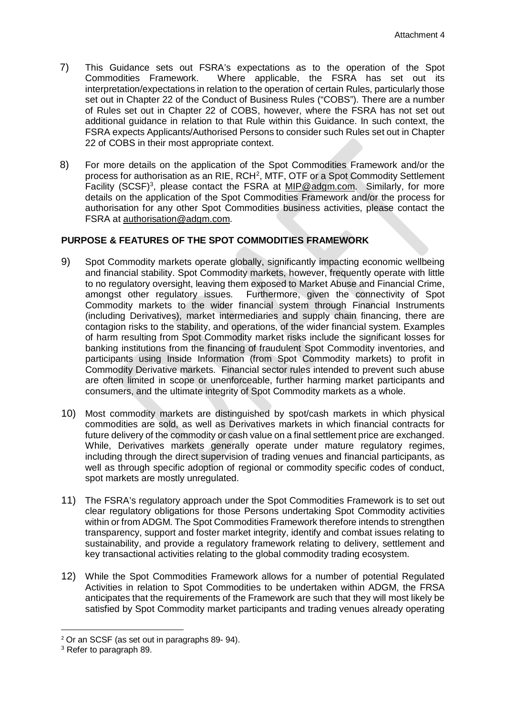- 7) This Guidance sets out FSRA's expectations as to the operation of the Spot Commodities Framework. Where applicable, the FSRA has set out its interpretation/expectations in relation to the operation of certain Rules, particularly those set out in Chapter 22 of the Conduct of Business Rules ("COBS"). There are a number of Rules set out in Chapter 22 of COBS, however, where the FSRA has not set out additional guidance in relation to that Rule within this Guidance. In such context, the FSRA expects Applicants/Authorised Persons to consider such Rules set out in Chapter 22 of COBS in their most appropriate context.
- 8) For more details on the application of the Spot Commodities Framework and/or the process for authorisation as an RIE, RCH<sup>[2](#page-3-1)</sup>, MTF, OTF or a Spot Commodity Settlement Facility (SCSF)<sup>[3](#page-3-2)</sup>, please contact the FSRA at [MIP@adgm.com.](mailto:MIP@adgm.com) Similarly, for more details on the application of the Spot Commodities Framework and/or the process for authorisation for any other Spot Commodities business activities, please contact the FSRA at [authorisation@adgm.com.](mailto:authorisation@adgm.com)

## <span id="page-3-0"></span>**PURPOSE & FEATURES OF THE SPOT COMMODITIES FRAMEWORK**

- 9) Spot Commodity markets operate globally, significantly impacting economic wellbeing and financial stability. Spot Commodity markets, however, frequently operate with little to no regulatory oversight, leaving them exposed to Market Abuse and Financial Crime, amongst other regulatory issues. Furthermore, given the connectivity of Spot Commodity markets to the wider financial system through Financial Instruments (including Derivatives), market intermediaries and supply chain financing, there are contagion risks to the stability, and operations, of the wider financial system. Examples of harm resulting from Spot Commodity market risks include the significant losses for banking institutions from the financing of fraudulent Spot Commodity inventories, and participants using Inside Information (from Spot Commodity markets) to profit in Commodity Derivative markets. Financial sector rules intended to prevent such abuse are often limited in scope or unenforceable, further harming market participants and consumers, and the ultimate integrity of Spot Commodity markets as a whole.
- 10) Most commodity markets are distinguished by spot/cash markets in which physical commodities are sold, as well as Derivatives markets in which financial contracts for future delivery of the commodity or cash value on a final settlement price are exchanged. While, Derivatives markets generally operate under mature regulatory regimes, including through the direct supervision of trading venues and financial participants, as well as through specific adoption of regional or commodity specific codes of conduct, spot markets are mostly unregulated.
- 11) The FSRA's regulatory approach under the Spot Commodities Framework is to set out clear regulatory obligations for those Persons undertaking Spot Commodity activities within or from ADGM. The Spot Commodities Framework therefore intends to strengthen transparency, support and foster market integrity, identify and combat issues relating to sustainability, and provide a regulatory framework relating to delivery, settlement and key transactional activities relating to the global commodity trading ecosystem.
- 12) While the Spot Commodities Framework allows for a number of potential Regulated Activities in relation to Spot Commodities to be undertaken within ADGM, the FRSA anticipates that the requirements of the Framework are such that they will most likely be satisfied by Spot Commodity market participants and trading venues already operating

<span id="page-3-1"></span> <sup>2</sup> Or an SCSF (as set out in paragraphs 89- 94).

<span id="page-3-2"></span><sup>3</sup> Refer to paragraph 89.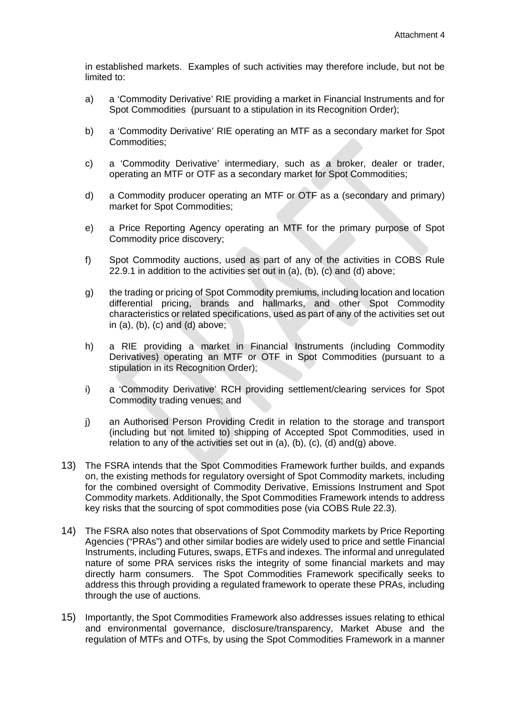in established markets. Examples of such activities may therefore include, but not be limited to:

- a) a 'Commodity Derivative' RIE providing a market in Financial Instruments and for Spot Commodities (pursuant to a stipulation in its Recognition Order):
- b) a 'Commodity Derivative' RIE operating an MTF as a secondary market for Spot Commodities;
- c) a 'Commodity Derivative' intermediary, such as a broker, dealer or trader, operating an MTF or OTF as a secondary market for Spot Commodities;
- d) a Commodity producer operating an MTF or OTF as a (secondary and primary) market for Spot Commodities;
- e) a Price Reporting Agency operating an MTF for the primary purpose of Spot Commodity price discovery;
- f) Spot Commodity auctions, used as part of any of the activities in COBS Rule 22.9.1 in addition to the activities set out in (a), (b), (c) and (d) above;
- g) the trading or pricing of Spot Commodity premiums, including location and location differential pricing, brands and hallmarks, and other Spot Commodity characteristics or related specifications, used as part of any of the activities set out in (a), (b), (c) and (d) above;
- h) a RIE providing a market in Financial Instruments (including Commodity Derivatives) operating an MTF or OTF in Spot Commodities (pursuant to a stipulation in its Recognition Order);
- i) a 'Commodity Derivative' RCH providing settlement/clearing services for Spot Commodity trading venues; and
- j) an Authorised Person Providing Credit in relation to the storage and transport (including but not limited to) shipping of Accepted Spot Commodities, used in relation to any of the activities set out in  $(a)$ ,  $(b)$ ,  $(c)$ ,  $(d)$  and $(q)$  above.
- 13) The FSRA intends that the Spot Commodities Framework further builds, and expands on, the existing methods for regulatory oversight of Spot Commodity markets, including for the combined oversight of Commodity Derivative, Emissions Instrument and Spot Commodity markets. Additionally, the Spot Commodities Framework intends to address key risks that the sourcing of spot commodities pose (via COBS Rule 22.3).
- 14) The FSRA also notes that observations of Spot Commodity markets by Price Reporting Agencies ("PRAs") and other similar bodies are widely used to price and settle Financial Instruments, including Futures, swaps, ETFs and indexes. The informal and unregulated nature of some PRA services risks the integrity of some financial markets and may directly harm consumers. The Spot Commodities Framework specifically seeks to address this through providing a regulated framework to operate these PRAs, including through the use of auctions.
- 15) Importantly, the Spot Commodities Framework also addresses issues relating to ethical and environmental governance, disclosure/transparency, Market Abuse and the regulation of MTFs and OTFs, by using the Spot Commodities Framework in a manner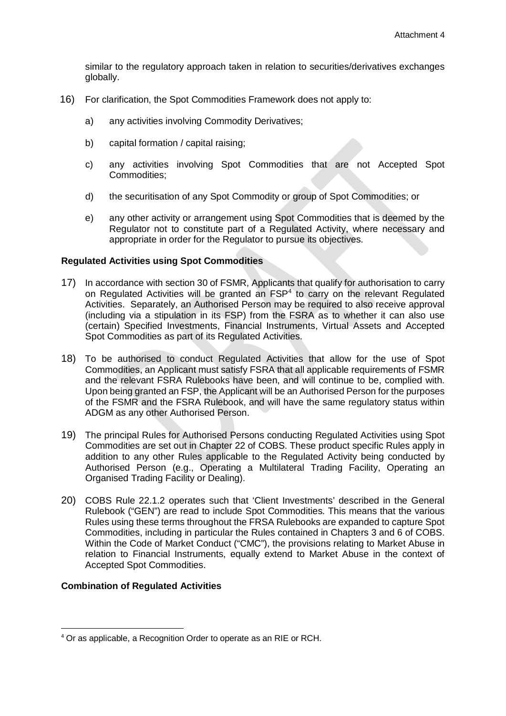similar to the regulatory approach taken in relation to securities/derivatives exchanges globally.

- 16) For clarification, the Spot Commodities Framework does not apply to:
	- a) any activities involving Commodity Derivatives;
	- b) capital formation / capital raising;
	- c) any activities involving Spot Commodities that are not Accepted Spot Commodities;
	- d) the securitisation of any Spot Commodity or group of Spot Commodities; or
	- e) any other activity or arrangement using Spot Commodities that is deemed by the Regulator not to constitute part of a Regulated Activity, where necessary and appropriate in order for the Regulator to pursue its objectives.

#### <span id="page-5-0"></span>**Regulated Activities using Spot Commodities**

- 17) In accordance with section 30 of FSMR, Applicants that qualify for authorisation to carry on Regulated Activities will be granted an FSP<sup>4</sup> to carry on the relevant Regulated Activities. Separately, an Authorised Person may be required to also receive approval (including via a stipulation in its FSP) from the FSRA as to whether it can also use (certain) Specified Investments, Financial Instruments, Virtual Assets and Accepted Spot Commodities as part of its Regulated Activities.
- 18) To be authorised to conduct Regulated Activities that allow for the use of Spot Commodities, an Applicant must satisfy FSRA that all applicable requirements of FSMR and the relevant FSRA Rulebooks have been, and will continue to be, complied with. Upon being granted an FSP, the Applicant will be an Authorised Person for the purposes of the FSMR and the FSRA Rulebook, and will have the same regulatory status within ADGM as any other Authorised Person.
- 19) The principal Rules for Authorised Persons conducting Regulated Activities using Spot Commodities are set out in Chapter 22 of COBS. These product specific Rules apply in addition to any other Rules applicable to the Regulated Activity being conducted by Authorised Person (e.g., Operating a Multilateral Trading Facility, Operating an Organised Trading Facility or Dealing).
- 20) COBS Rule 22.1.2 operates such that 'Client Investments' described in the General Rulebook ("GEN") are read to include Spot Commodities. This means that the various Rules using these terms throughout the FRSA Rulebooks are expanded to capture Spot Commodities, including in particular the Rules contained in Chapters 3 and 6 of COBS. Within the Code of Market Conduct ("CMC"), the provisions relating to Market Abuse in relation to Financial Instruments, equally extend to Market Abuse in the context of Accepted Spot Commodities.

#### <span id="page-5-1"></span>**Combination of Regulated Activities**

<span id="page-5-2"></span> <sup>4</sup> Or as applicable, a Recognition Order to operate as an RIE or RCH.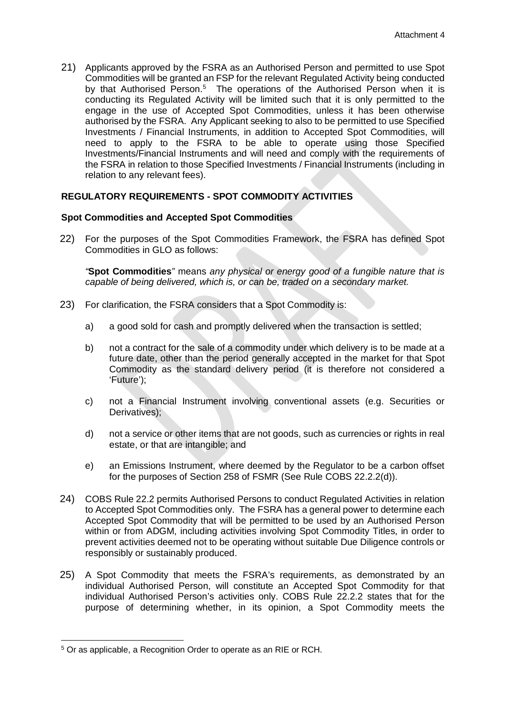21) Applicants approved by the FSRA as an Authorised Person and permitted to use Spot Commodities will be granted an FSP for the relevant Regulated Activity being conducted by that Authorised Person.<sup>[5](#page-6-2)</sup> The operations of the Authorised Person when it is conducting its Regulated Activity will be limited such that it is only permitted to the engage in the use of Accepted Spot Commodities, unless it has been otherwise authorised by the FSRA. Any Applicant seeking to also to be permitted to use Specified Investments / Financial Instruments, in addition to Accepted Spot Commodities, will need to apply to the FSRA to be able to operate using those Specified Investments/Financial Instruments and will need and comply with the requirements of the FSRA in relation to those Specified Investments / Financial Instruments (including in relation to any relevant fees).

## <span id="page-6-0"></span>**REGULATORY REQUIREMENTS - SPOT COMMODITY ACTIVITIES**

#### <span id="page-6-1"></span>**Spot Commodities and Accepted Spot Commodities**

22) For the purposes of the Spot Commodities Framework, the FSRA has defined Spot Commodities in GLO as follows:

*"***Spot Commodities***"* means *any physical or energy good of a fungible nature that is capable of being delivered, which is, or can be, traded on a secondary market.*

- 23) For clarification, the FSRA considers that a Spot Commodity is:
	- a) a good sold for cash and promptly delivered when the transaction is settled;
	- b) not a contract for the sale of a commodity under which delivery is to be made at a future date, other than the period generally accepted in the market for that Spot Commodity as the standard delivery period (it is therefore not considered a 'Future');
	- c) not a Financial Instrument involving conventional assets (e.g. Securities or Derivatives);
	- d) not a service or other items that are not goods, such as currencies or rights in real estate, or that are intangible; and
	- e) an Emissions Instrument, where deemed by the Regulator to be a carbon offset for the purposes of Section 258 of FSMR (See Rule COBS 22.2.2(d)).
- 24) COBS Rule 22.2 permits Authorised Persons to conduct Regulated Activities in relation to Accepted Spot Commodities only. The FSRA has a general power to determine each Accepted Spot Commodity that will be permitted to be used by an Authorised Person within or from ADGM, including activities involving Spot Commodity Titles, in order to prevent activities deemed not to be operating without suitable Due Diligence controls or responsibly or sustainably produced.
- 25) A Spot Commodity that meets the FSRA's requirements, as demonstrated by an individual Authorised Person, will constitute an Accepted Spot Commodity for that individual Authorised Person's activities only. COBS Rule 22.2.2 states that for the purpose of determining whether, in its opinion, a Spot Commodity meets the

 $\overline{a}$ 

<span id="page-6-2"></span><sup>5</sup> Or as applicable, a Recognition Order to operate as an RIE or RCH.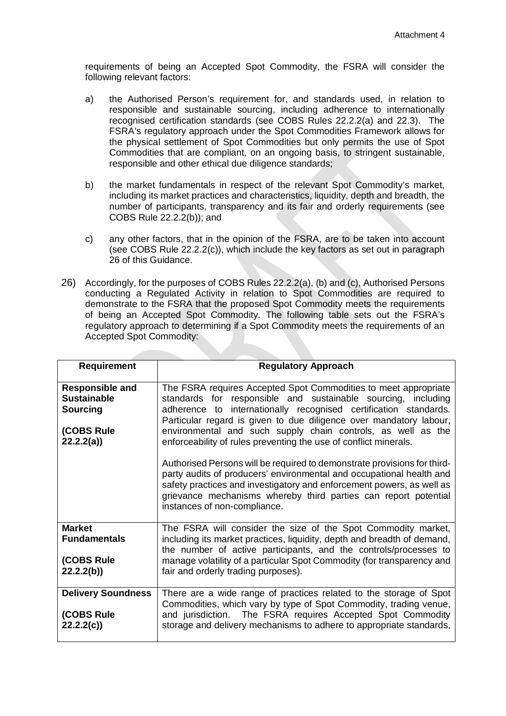requirements of being an Accepted Spot Commodity, the FSRA will consider the following relevant factors:

- a) the Authorised Person's requirement for, and standards used, in relation to responsible and sustainable sourcing, including adherence to internationally recognised certification standards (see COBS Rules 22.2.2(a) and 22.3). The FSRA's regulatory approach under the Spot Commodities Framework allows for the physical settlement of Spot Commodities but only permits the use of Spot Commodities that are compliant, on an ongoing basis, to stringent sustainable, responsible and other ethical due diligence standards;
- b) the market fundamentals in respect of the relevant Spot Commodity's market, including its market practices and characteristics, liquidity, depth and breadth, the number of participants, transparency and its fair and orderly requirements (see COBS Rule 22.2.2(b)); and
- c) any other factors, that in the opinion of the FSRA, are to be taken into account (see COBS Rule  $22.2(c)$ ), which include the key factors as set out in paragraph 26 of this Guidance.
- 26) Accordingly, for the purposes of COBS Rules 22.2.2(a), (b) and (c), Authorised Persons conducting a Regulated Activity in relation to Spot Commodities are required to demonstrate to the FSRA that the proposed Spot Commodity meets the requirements of being an Accepted Spot Commodity. The following table sets out the FSRA's regulatory approach to determining if a Spot Commodity meets the requirements of an Accepted Spot Commodity:

| <b>Requirement</b>        | <b>Regulatory Approach</b>                                               |  |  |
|---------------------------|--------------------------------------------------------------------------|--|--|
|                           |                                                                          |  |  |
| <b>Responsible and</b>    | The FSRA requires Accepted Spot Commodities to meet appropriate          |  |  |
| <b>Sustainable</b>        | standards for responsible and sustainable sourcing, including            |  |  |
| <b>Sourcing</b>           | adherence to internationally recognised certification standards.         |  |  |
|                           | Particular regard is given to due diligence over mandatory labour,       |  |  |
| (COBS Rule                | environmental and such supply chain controls, as well as the             |  |  |
| 22.2(2a)                  | enforceability of rules preventing the use of conflict minerals.         |  |  |
|                           |                                                                          |  |  |
|                           | Authorised Persons will be required to demonstrate provisions for third- |  |  |
|                           | party audits of producers' environmental and occupational health and     |  |  |
|                           | safety practices and investigatory and enforcement powers, as well as    |  |  |
|                           | grievance mechanisms whereby third parties can report potential          |  |  |
|                           | instances of non-compliance.                                             |  |  |
|                           |                                                                          |  |  |
| <b>Market</b>             | The FSRA will consider the size of the Spot Commodity market,            |  |  |
| <b>Fundamentals</b>       | including its market practices, liquidity, depth and breadth of demand,  |  |  |
|                           | the number of active participants, and the controls/processes to         |  |  |
| (COBS Rule                | manage volatility of a particular Spot Commodity (for transparency and   |  |  |
| 22.2(6)                   | fair and orderly trading purposes).                                      |  |  |
|                           |                                                                          |  |  |
| <b>Delivery Soundness</b> | There are a wide range of practices related to the storage of Spot       |  |  |
|                           | Commodities, which vary by type of Spot Commodity, trading venue,        |  |  |
| (COBS Rule                | and jurisdiction. The FSRA requires Accepted Spot Commodity              |  |  |
| 22.2.2(c)                 | storage and delivery mechanisms to adhere to appropriate standards,      |  |  |
|                           |                                                                          |  |  |
|                           |                                                                          |  |  |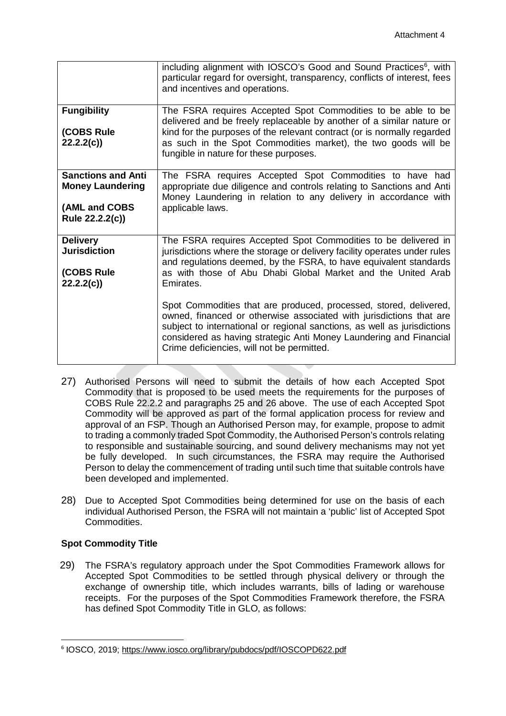|                                                                                          | including alignment with IOSCO's Good and Sound Practices <sup>6</sup> , with<br>particular regard for oversight, transparency, conflicts of interest, fees<br>and incentives and operations.                                                                                                                                                                                                                                                                                                                                                                                                                                             |
|------------------------------------------------------------------------------------------|-------------------------------------------------------------------------------------------------------------------------------------------------------------------------------------------------------------------------------------------------------------------------------------------------------------------------------------------------------------------------------------------------------------------------------------------------------------------------------------------------------------------------------------------------------------------------------------------------------------------------------------------|
| <b>Fungibility</b><br>(COBS Rule<br>22.2.2(c)                                            | The FSRA requires Accepted Spot Commodities to be able to be<br>delivered and be freely replaceable by another of a similar nature or<br>kind for the purposes of the relevant contract (or is normally regarded<br>as such in the Spot Commodities market), the two goods will be<br>fungible in nature for these purposes.                                                                                                                                                                                                                                                                                                              |
| <b>Sanctions and Anti</b><br><b>Money Laundering</b><br>(AML and COBS<br>Rule 22.2.2(c)) | The FSRA requires Accepted Spot Commodities to have had<br>appropriate due diligence and controls relating to Sanctions and Anti<br>Money Laundering in relation to any delivery in accordance with<br>applicable laws.                                                                                                                                                                                                                                                                                                                                                                                                                   |
| <b>Delivery</b><br><b>Jurisdiction</b><br>(COBS Rule<br>22.2.2(c)                        | The FSRA requires Accepted Spot Commodities to be delivered in<br>jurisdictions where the storage or delivery facility operates under rules<br>and regulations deemed, by the FSRA, to have equivalent standards<br>as with those of Abu Dhabi Global Market and the United Arab<br>Emirates.<br>Spot Commodities that are produced, processed, stored, delivered,<br>owned, financed or otherwise associated with jurisdictions that are<br>subject to international or regional sanctions, as well as jurisdictions<br>considered as having strategic Anti Money Laundering and Financial<br>Crime deficiencies, will not be permitted. |

- 27) Authorised Persons will need to submit the details of how each Accepted Spot Commodity that is proposed to be used meets the requirements for the purposes of COBS Rule 22.2.2 and paragraphs 25 and 26 above. The use of each Accepted Spot Commodity will be approved as part of the formal application process for review and approval of an FSP. Though an Authorised Person may, for example, propose to admit to trading a commonly traded Spot Commodity, the Authorised Person's controls relating to responsible and sustainable sourcing, and sound delivery mechanisms may not yet be fully developed. In such circumstances, the FSRA may require the Authorised Person to delay the commencement of trading until such time that suitable controls have been developed and implemented.
- 28) Due to Accepted Spot Commodities being determined for use on the basis of each individual Authorised Person, the FSRA will not maintain a 'public' list of Accepted Spot Commodities.

## <span id="page-8-0"></span>**Spot Commodity Title**

29) The FSRA's regulatory approach under the Spot Commodities Framework allows for Accepted Spot Commodities to be settled through physical delivery or through the exchange of ownership title, which includes warrants, bills of lading or warehouse receipts. For the purposes of the Spot Commodities Framework therefore, the FSRA has defined Spot Commodity Title in GLO, as follows:

<span id="page-8-1"></span> <sup>6</sup> IOSCO, 2019;<https://www.iosco.org/library/pubdocs/pdf/IOSCOPD622.pdf>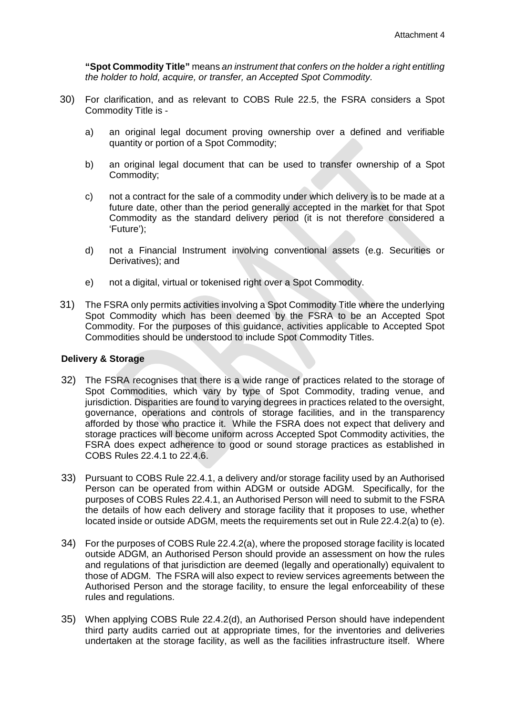**"Spot Commodity Title"** means *an instrument that confers on the holder a right entitling the holder to hold, acquire, or transfer, an Accepted Spot Commodity.*

- 30) For clarification, and as relevant to COBS Rule 22.5, the FSRA considers a Spot Commodity Title is
	- a) an original legal document proving ownership over a defined and verifiable quantity or portion of a Spot Commodity;
	- b) an original legal document that can be used to transfer ownership of a Spot Commodity;
	- c) not a contract for the sale of a commodity under which delivery is to be made at a future date, other than the period generally accepted in the market for that Spot Commodity as the standard delivery period (it is not therefore considered a 'Future');
	- d) not a Financial Instrument involving conventional assets (e.g. Securities or Derivatives); and
	- e) not a digital, virtual or tokenised right over a Spot Commodity.
- 31) The FSRA only permits activities involving a Spot Commodity Title where the underlying Spot Commodity which has been deemed by the FSRA to be an Accepted Spot Commodity. For the purposes of this guidance, activities applicable to Accepted Spot Commodities should be understood to include Spot Commodity Titles.

#### <span id="page-9-0"></span>**Delivery & Storage**

- 32) The FSRA recognises that there is a wide range of practices related to the storage of Spot Commodities, which vary by type of Spot Commodity, trading venue, and jurisdiction. Disparities are found to varying degrees in practices related to the oversight, governance, operations and controls of storage facilities, and in the transparency afforded by those who practice it. While the FSRA does not expect that delivery and storage practices will become uniform across Accepted Spot Commodity activities, the FSRA does expect adherence to good or sound storage practices as established in COBS Rules 22.4.1 to 22.4.6.
- 33) Pursuant to COBS Rule 22.4.1, a delivery and/or storage facility used by an Authorised Person can be operated from within ADGM or outside ADGM. Specifically, for the purposes of COBS Rules 22.4.1, an Authorised Person will need to submit to the FSRA the details of how each delivery and storage facility that it proposes to use, whether located inside or outside ADGM, meets the requirements set out in Rule 22.4.2(a) to (e).
- 34) For the purposes of COBS Rule 22.4.2(a), where the proposed storage facility is located outside ADGM, an Authorised Person should provide an assessment on how the rules and regulations of that jurisdiction are deemed (legally and operationally) equivalent to those of ADGM. The FSRA will also expect to review services agreements between the Authorised Person and the storage facility, to ensure the legal enforceability of these rules and regulations.
- 35) When applying COBS Rule 22.4.2(d), an Authorised Person should have independent third party audits carried out at appropriate times, for the inventories and deliveries undertaken at the storage facility, as well as the facilities infrastructure itself. Where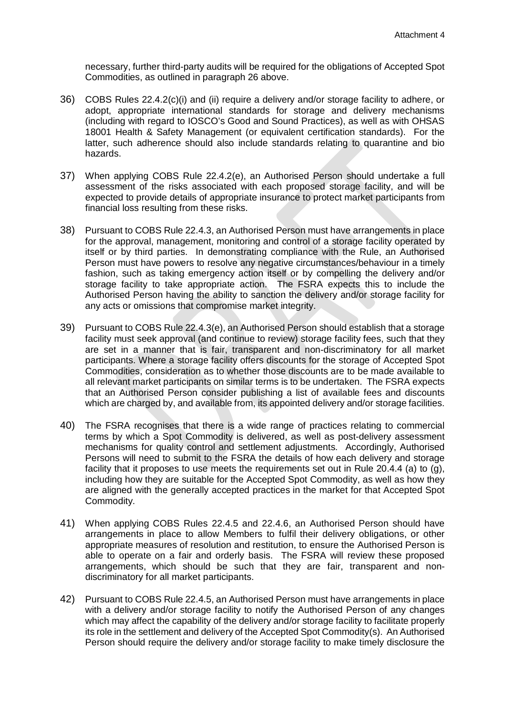necessary, further third-party audits will be required for the obligations of Accepted Spot Commodities, as outlined in paragraph 26 above.

- 36) COBS Rules 22.4.2(c)(i) and (ii) require a delivery and/or storage facility to adhere, or adopt, appropriate international standards for storage and delivery mechanisms (including with regard to IOSCO's Good and Sound Practices), as well as with OHSAS 18001 Health & Safety Management (or equivalent certification standards). For the latter, such adherence should also include standards relating to quarantine and bio hazards.
- 37) When applying COBS Rule 22.4.2(e), an Authorised Person should undertake a full assessment of the risks associated with each proposed storage facility, and will be expected to provide details of appropriate insurance to protect market participants from financial loss resulting from these risks.
- 38) Pursuant to COBS Rule 22.4.3, an Authorised Person must have arrangements in place for the approval, management, monitoring and control of a storage facility operated by itself or by third parties. In demonstrating compliance with the Rule, an Authorised Person must have powers to resolve any negative circumstances/behaviour in a timely fashion, such as taking emergency action itself or by compelling the delivery and/or storage facility to take appropriate action. The FSRA expects this to include the Authorised Person having the ability to sanction the delivery and/or storage facility for any acts or omissions that compromise market integrity.
- 39) Pursuant to COBS Rule 22.4.3(e), an Authorised Person should establish that a storage facility must seek approval (and continue to review) storage facility fees, such that they are set in a manner that is fair, transparent and non-discriminatory for all market participants. Where a storage facility offers discounts for the storage of Accepted Spot Commodities, consideration as to whether those discounts are to be made available to all relevant market participants on similar terms is to be undertaken. The FSRA expects that an Authorised Person consider publishing a list of available fees and discounts which are charged by, and available from, its appointed delivery and/or storage facilities.
- 40) The FSRA recognises that there is a wide range of practices relating to commercial terms by which a Spot Commodity is delivered, as well as post-delivery assessment mechanisms for quality control and settlement adjustments. Accordingly, Authorised Persons will need to submit to the FSRA the details of how each delivery and storage facility that it proposes to use meets the requirements set out in Rule 20.4.4 (a) to (g), including how they are suitable for the Accepted Spot Commodity, as well as how they are aligned with the generally accepted practices in the market for that Accepted Spot Commodity.
- 41) When applying COBS Rules 22.4.5 and 22.4.6, an Authorised Person should have arrangements in place to allow Members to fulfil their delivery obligations, or other appropriate measures of resolution and restitution, to ensure the Authorised Person is able to operate on a fair and orderly basis. The FSRA will review these proposed arrangements, which should be such that they are fair, transparent and nondiscriminatory for all market participants.
- 42) Pursuant to COBS Rule 22.4.5, an Authorised Person must have arrangements in place with a delivery and/or storage facility to notify the Authorised Person of any changes which may affect the capability of the delivery and/or storage facility to facilitate properly its role in the settlement and delivery of the Accepted Spot Commodity(s). An Authorised Person should require the delivery and/or storage facility to make timely disclosure the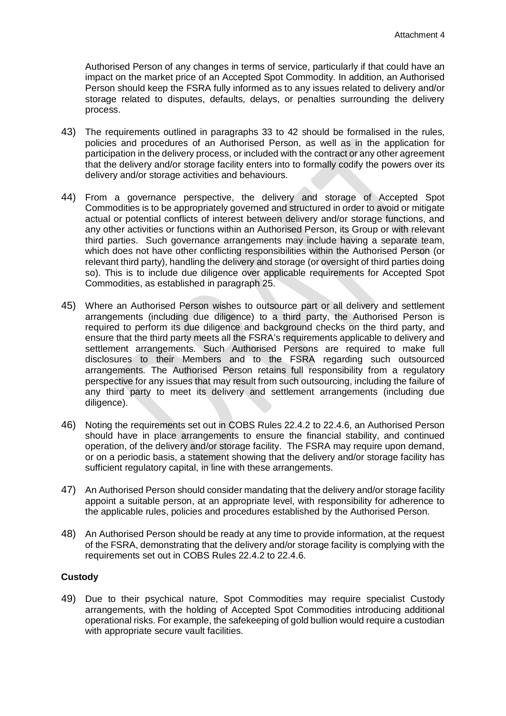Authorised Person of any changes in terms of service, particularly if that could have an impact on the market price of an Accepted Spot Commodity. In addition, an Authorised Person should keep the FSRA fully informed as to any issues related to delivery and/or storage related to disputes, defaults, delays, or penalties surrounding the delivery process.

- 43) The requirements outlined in paragraphs 33 to 42 should be formalised in the rules, policies and procedures of an Authorised Person, as well as in the application for participation in the delivery process, or included with the contract or any other agreement that the delivery and/or storage facility enters into to formally codify the powers over its delivery and/or storage activities and behaviours.
- 44) From a governance perspective, the delivery and storage of Accepted Spot Commodities is to be appropriately governed and structured in order to avoid or mitigate actual or potential conflicts of interest between delivery and/or storage functions, and any other activities or functions within an Authorised Person, its Group or with relevant third parties. Such governance arrangements may include having a separate team, which does not have other conflicting responsibilities within the Authorised Person (or relevant third party), handling the delivery and storage (or oversight of third parties doing so). This is to include due diligence over applicable requirements for Accepted Spot Commodities, as established in paragraph 25.
- 45) Where an Authorised Person wishes to outsource part or all delivery and settlement arrangements (including due diligence) to a third party, the Authorised Person is required to perform its due diligence and background checks on the third party, and ensure that the third party meets all the FSRA's requirements applicable to delivery and settlement arrangements. Such Authorised Persons are required to make full disclosures to their Members and to the FSRA regarding such outsourced arrangements. The Authorised Person retains full responsibility from a regulatory perspective for any issues that may result from such outsourcing, including the failure of any third party to meet its delivery and settlement arrangements (including due diligence).
- 46) Noting the requirements set out in COBS Rules 22.4.2 to 22.4.6, an Authorised Person should have in place arrangements to ensure the financial stability, and continued operation, of the delivery and/or storage facility. The FSRA may require upon demand, or on a periodic basis, a statement showing that the delivery and/or storage facility has sufficient regulatory capital, in line with these arrangements.
- 47) An Authorised Person should consider mandating that the delivery and/or storage facility appoint a suitable person, at an appropriate level, with responsibility for adherence to the applicable rules, policies and procedures established by the Authorised Person.
- 48) An Authorised Person should be ready at any time to provide information, at the request of the FSRA, demonstrating that the delivery and/or storage facility is complying with the requirements set out in COBS Rules 22.4.2 to 22.4.6.

## <span id="page-11-0"></span>**Custody**

49) Due to their psychical nature, Spot Commodities may require specialist Custody arrangements, with the holding of Accepted Spot Commodities introducing additional operational risks. For example, the safekeeping of gold bullion would require a custodian with appropriate secure vault facilities.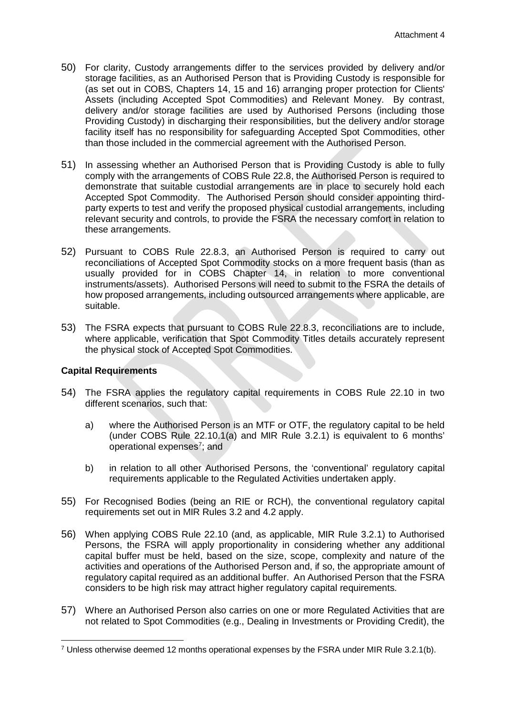- 50) For clarity, Custody arrangements differ to the services provided by delivery and/or storage facilities, as an Authorised Person that is Providing Custody is responsible for (as set out in COBS, Chapters 14, 15 and 16) arranging proper protection for Clients' Assets (including Accepted Spot Commodities) and Relevant Money. By contrast, delivery and/or storage facilities are used by Authorised Persons (including those Providing Custody) in discharging their responsibilities, but the delivery and/or storage facility itself has no responsibility for safeguarding Accepted Spot Commodities, other than those included in the commercial agreement with the Authorised Person.
- 51) In assessing whether an Authorised Person that is Providing Custody is able to fully comply with the arrangements of COBS Rule 22.8, the Authorised Person is required to demonstrate that suitable custodial arrangements are in place to securely hold each Accepted Spot Commodity. The Authorised Person should consider appointing thirdparty experts to test and verify the proposed physical custodial arrangements, including relevant security and controls, to provide the FSRA the necessary comfort in relation to these arrangements.
- 52) Pursuant to COBS Rule 22.8.3, an Authorised Person is required to carry out reconciliations of Accepted Spot Commodity stocks on a more frequent basis (than as usually provided for in COBS Chapter 14, in relation to more conventional instruments/assets). Authorised Persons will need to submit to the FSRA the details of how proposed arrangements, including outsourced arrangements where applicable, are suitable.
- 53) The FSRA expects that pursuant to COBS Rule 22.8.3, reconciliations are to include, where applicable, verification that Spot Commodity Titles details accurately represent the physical stock of Accepted Spot Commodities.

#### <span id="page-12-0"></span>**Capital Requirements**

 $\overline{a}$ 

- 54) The FSRA applies the regulatory capital requirements in COBS Rule 22.10 in two different scenarios, such that:
	- a) where the Authorised Person is an MTF or OTF, the regulatory capital to be held (under COBS Rule 22.10.1(a) and MIR Rule 3.2.1) is equivalent to 6 months' operational expenses<sup>[7](#page-12-1)</sup>; and
	- b) in relation to all other Authorised Persons, the 'conventional' regulatory capital requirements applicable to the Regulated Activities undertaken apply.
- 55) For Recognised Bodies (being an RIE or RCH), the conventional regulatory capital requirements set out in MIR Rules 3.2 and 4.2 apply.
- 56) When applying COBS Rule 22.10 (and, as applicable, MIR Rule 3.2.1) to Authorised Persons, the FSRA will apply proportionality in considering whether any additional capital buffer must be held, based on the size, scope, complexity and nature of the activities and operations of the Authorised Person and, if so, the appropriate amount of regulatory capital required as an additional buffer. An Authorised Person that the FSRA considers to be high risk may attract higher regulatory capital requirements.
- 57) Where an Authorised Person also carries on one or more Regulated Activities that are not related to Spot Commodities (e.g., Dealing in Investments or Providing Credit), the

<span id="page-12-1"></span> $7$  Unless otherwise deemed 12 months operational expenses by the FSRA under MIR Rule 3.2.1(b).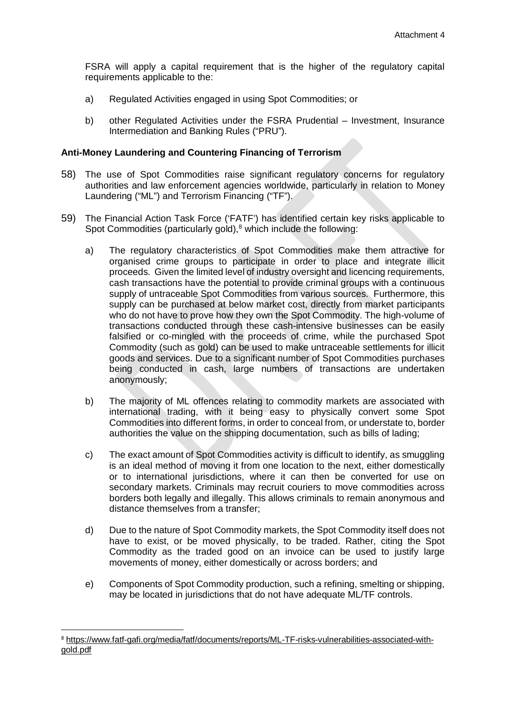FSRA will apply a capital requirement that is the higher of the regulatory capital requirements applicable to the:

- a) Regulated Activities engaged in using Spot Commodities; or
- b) other Regulated Activities under the FSRA Prudential Investment, Insurance Intermediation and Banking Rules ("PRU").

#### <span id="page-13-0"></span>**Anti-Money Laundering and Countering Financing of Terrorism**

- 58) The use of Spot Commodities raise significant regulatory concerns for regulatory authorities and law enforcement agencies worldwide, particularly in relation to Money Laundering ("ML") and Terrorism Financing ("TF").
- 59) The Financial Action Task Force ('FATF') has identified certain key risks applicable to Spot Commodities (particularly gold),<sup>[8](#page-13-1)</sup> which include the following:
	- a) The regulatory characteristics of Spot Commodities make them attractive for organised crime groups to participate in order to place and integrate illicit proceeds. Given the limited level of industry oversight and licencing requirements, cash transactions have the potential to provide criminal groups with a continuous supply of untraceable Spot Commodities from various sources. Furthermore, this supply can be purchased at below market cost, directly from market participants who do not have to prove how they own the Spot Commodity. The high-volume of transactions conducted through these cash-intensive businesses can be easily falsified or co-mingled with the proceeds of crime, while the purchased Spot Commodity (such as gold) can be used to make untraceable settlements for illicit goods and services. Due to a significant number of Spot Commodities purchases being conducted in cash, large numbers of transactions are undertaken anonymously;
	- b) The majority of ML offences relating to commodity markets are associated with international trading, with it being easy to physically convert some Spot Commodities into different forms, in order to conceal from, or understate to, border authorities the value on the shipping documentation, such as bills of lading;
	- c) The exact amount of Spot Commodities activity is difficult to identify, as smuggling is an ideal method of moving it from one location to the next, either domestically or to international jurisdictions, where it can then be converted for use on secondary markets. Criminals may recruit couriers to move commodities across borders both legally and illegally. This allows criminals to remain anonymous and distance themselves from a transfer;
	- d) Due to the nature of Spot Commodity markets, the Spot Commodity itself does not have to exist, or be moved physically, to be traded. Rather, citing the Spot Commodity as the traded good on an invoice can be used to justify large movements of money, either domestically or across borders; and
	- e) Components of Spot Commodity production, such a refining, smelting or shipping, may be located in jurisdictions that do not have adequate ML/TF controls.

<span id="page-13-1"></span> <sup>8</sup> [https://www.fatf-gafi.org/media/fatf/documents/reports/ML-TF-risks-vulnerabilities-associated-with](https://www.fatf-gafi.org/media/fatf/documents/reports/ML-TF-risks-vulnerabilities-associated-with-gold.pdf)[gold.pdf](https://www.fatf-gafi.org/media/fatf/documents/reports/ML-TF-risks-vulnerabilities-associated-with-gold.pdf)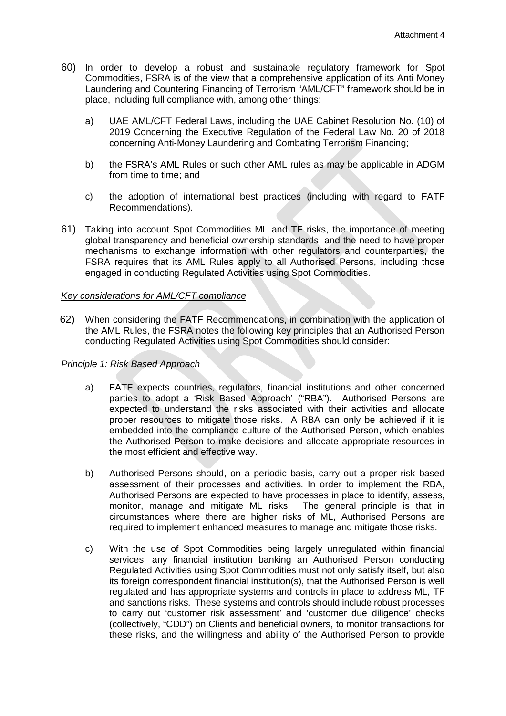- 60) In order to develop a robust and sustainable regulatory framework for Spot Commodities, FSRA is of the view that a comprehensive application of its Anti Money Laundering and Countering Financing of Terrorism "AML/CFT" framework should be in place, including full compliance with, among other things:
	- a) UAE AML/CFT Federal Laws, including the UAE Cabinet Resolution No. (10) of 2019 Concerning the Executive Regulation of the Federal Law No. 20 of 2018 concerning Anti-Money Laundering and Combating Terrorism Financing;
	- b) the FSRA's AML Rules or such other AML rules as may be applicable in ADGM from time to time; and
	- c) the adoption of international best practices (including with regard to FATF Recommendations).
- 61) Taking into account Spot Commodities ML and TF risks, the importance of meeting global transparency and beneficial ownership standards, and the need to have proper mechanisms to exchange information with other regulators and counterparties, the FSRA requires that its AML Rules apply to all Authorised Persons, including those engaged in conducting Regulated Activities using Spot Commodities.

#### *Key considerations for AML/CFT compliance*

62) When considering the FATF Recommendations, in combination with the application of the AML Rules, the FSRA notes the following key principles that an Authorised Person conducting Regulated Activities using Spot Commodities should consider:

#### *Principle 1: Risk Based Approach*

- a) FATF expects countries, regulators, financial institutions and other concerned parties to adopt a 'Risk Based Approach' ("RBA"). Authorised Persons are expected to understand the risks associated with their activities and allocate proper resources to mitigate those risks. A RBA can only be achieved if it is embedded into the compliance culture of the Authorised Person, which enables the Authorised Person to make decisions and allocate appropriate resources in the most efficient and effective way.
- b) Authorised Persons should, on a periodic basis, carry out a proper risk based assessment of their processes and activities. In order to implement the RBA, Authorised Persons are expected to have processes in place to identify, assess, monitor, manage and mitigate ML risks. The general principle is that in circumstances where there are higher risks of ML, Authorised Persons are required to implement enhanced measures to manage and mitigate those risks.
- c) With the use of Spot Commodities being largely unregulated within financial services, any financial institution banking an Authorised Person conducting Regulated Activities using Spot Commodities must not only satisfy itself, but also its foreign correspondent financial institution(s), that the Authorised Person is well regulated and has appropriate systems and controls in place to address ML, TF and sanctions risks. These systems and controls should include robust processes to carry out 'customer risk assessment' and 'customer due diligence' checks (collectively, "CDD") on Clients and beneficial owners, to monitor transactions for these risks, and the willingness and ability of the Authorised Person to provide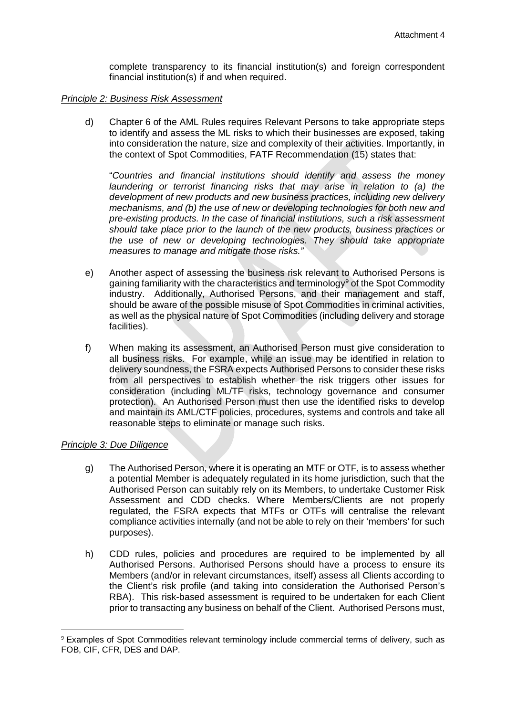complete transparency to its financial institution(s) and foreign correspondent financial institution(s) if and when required.

#### *Principle 2: Business Risk Assessment*

d) Chapter 6 of the AML Rules requires Relevant Persons to take appropriate steps to identify and assess the ML risks to which their businesses are exposed, taking into consideration the nature, size and complexity of their activities. Importantly, in the context of Spot Commodities, FATF Recommendation (15) states that:

"*Countries and financial institutions should identify and assess the money laundering or terrorist financing risks that may arise in relation to (a) the development of new products and new business practices, including new delivery mechanisms, and (b) the use of new or developing technologies for both new and pre-existing products. In the case of financial institutions, such a risk assessment should take place prior to the launch of the new products, business practices or the use of new or developing technologies. They should take appropriate measures to manage and mitigate those risks."*

- e) Another aspect of assessing the business risk relevant to Authorised Persons is gaining familiarity with the characteristics and terminology<sup>[9](#page-15-0)</sup> of the Spot Commodity industry. Additionally, Authorised Persons, and their management and staff, should be aware of the possible misuse of Spot Commodities in criminal activities, as well as the physical nature of Spot Commodities (including delivery and storage facilities).
- f) When making its assessment, an Authorised Person must give consideration to all business risks. For example, while an issue may be identified in relation to delivery soundness, the FSRA expects Authorised Persons to consider these risks from all perspectives to establish whether the risk triggers other issues for consideration (including ML/TF risks, technology governance and consumer protection). An Authorised Person must then use the identified risks to develop and maintain its AML/CTF policies, procedures, systems and controls and take all reasonable steps to eliminate or manage such risks.

#### *Principle 3: Due Diligence*

- g) The Authorised Person, where it is operating an MTF or OTF, is to assess whether a potential Member is adequately regulated in its home jurisdiction, such that the Authorised Person can suitably rely on its Members, to undertake Customer Risk Assessment and CDD checks. Where Members/Clients are not properly regulated, the FSRA expects that MTFs or OTFs will centralise the relevant compliance activities internally (and not be able to rely on their 'members' for such purposes).
- h) CDD rules, policies and procedures are required to be implemented by all Authorised Persons. Authorised Persons should have a process to ensure its Members (and/or in relevant circumstances, itself) assess all Clients according to the Client's risk profile (and taking into consideration the Authorised Person's RBA). This risk-based assessment is required to be undertaken for each Client prior to transacting any business on behalf of the Client. Authorised Persons must,

<span id="page-15-0"></span> <sup>9</sup> Examples of Spot Commodities relevant terminology include commercial terms of delivery, such as FOB, CIF, CFR, DES and DAP.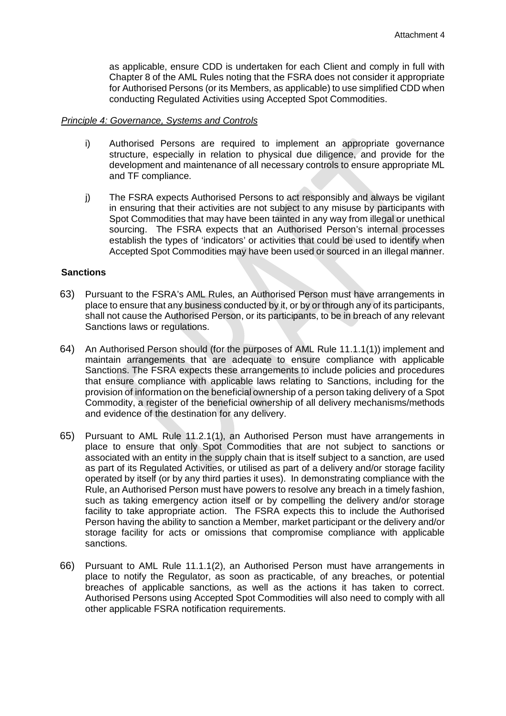as applicable, ensure CDD is undertaken for each Client and comply in full with Chapter 8 of the AML Rules noting that the FSRA does not consider it appropriate for Authorised Persons (or its Members, as applicable) to use simplified CDD when conducting Regulated Activities using Accepted Spot Commodities.

#### *Principle 4: Governance, Systems and Controls*

- i) Authorised Persons are required to implement an appropriate governance structure, especially in relation to physical due diligence, and provide for the development and maintenance of all necessary controls to ensure appropriate ML and TF compliance.
- j) The FSRA expects Authorised Persons to act responsibly and always be vigilant in ensuring that their activities are not subject to any misuse by participants with Spot Commodities that may have been tainted in any way from illegal or unethical sourcing. The FSRA expects that an Authorised Person's internal processes establish the types of 'indicators' or activities that could be used to identify when Accepted Spot Commodities may have been used or sourced in an illegal manner.

#### <span id="page-16-0"></span>**Sanctions**

- 63) Pursuant to the FSRA's AML Rules, an Authorised Person must have arrangements in place to ensure that any business conducted by it, or by or through any of its participants, shall not cause the Authorised Person, or its participants, to be in breach of any relevant Sanctions laws or regulations.
- 64) An Authorised Person should (for the purposes of AML Rule 11.1.1(1)) implement and maintain arrangements that are adequate to ensure compliance with applicable Sanctions. The FSRA expects these arrangements to include policies and procedures that ensure compliance with applicable laws relating to Sanctions, including for the provision of information on the beneficial ownership of a person taking delivery of a Spot Commodity, a register of the beneficial ownership of all delivery mechanisms/methods and evidence of the destination for any delivery.
- 65) Pursuant to AML Rule 11.2.1(1), an Authorised Person must have arrangements in place to ensure that only Spot Commodities that are not subject to sanctions or associated with an entity in the supply chain that is itself subject to a sanction, are used as part of its Regulated Activities, or utilised as part of a delivery and/or storage facility operated by itself (or by any third parties it uses). In demonstrating compliance with the Rule, an Authorised Person must have powers to resolve any breach in a timely fashion, such as taking emergency action itself or by compelling the delivery and/or storage facility to take appropriate action. The FSRA expects this to include the Authorised Person having the ability to sanction a Member, market participant or the delivery and/or storage facility for acts or omissions that compromise compliance with applicable sanctions.
- 66) Pursuant to AML Rule 11.1.1(2), an Authorised Person must have arrangements in place to notify the Regulator, as soon as practicable, of any breaches, or potential breaches of applicable sanctions, as well as the actions it has taken to correct. Authorised Persons using Accepted Spot Commodities will also need to comply with all other applicable FSRA notification requirements.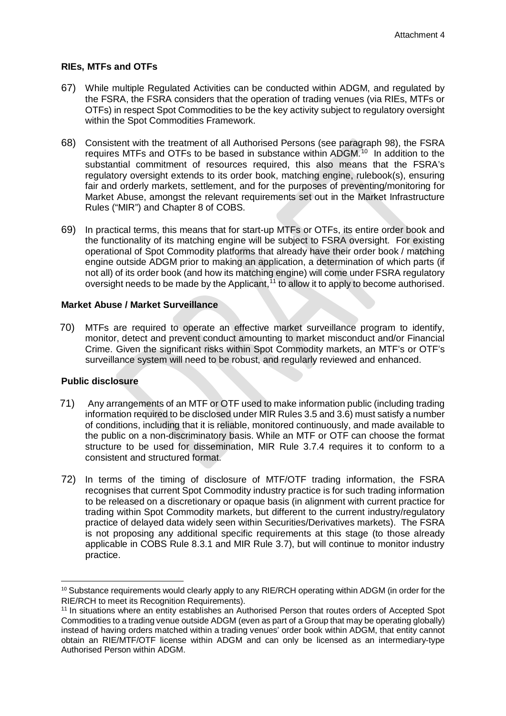#### <span id="page-17-0"></span>**RIEs, MTFs and OTFs**

- 67) While multiple Regulated Activities can be conducted within ADGM, and regulated by the FSRA, the FSRA considers that the operation of trading venues (via RIEs, MTFs or OTFs) in respect Spot Commodities to be the key activity subject to regulatory oversight within the Spot Commodities Framework.
- 68) Consistent with the treatment of all Authorised Persons (see paragraph 98), the FSRA requires MTFs and OTFs to be based in substance within ADGM. [10](#page-17-1) In addition to the substantial commitment of resources required, this also means that the FSRA's regulatory oversight extends to its order book, matching engine, rulebook(s), ensuring fair and orderly markets, settlement, and for the purposes of preventing/monitoring for Market Abuse, amongst the relevant requirements set out in the Market Infrastructure Rules ("MIR") and Chapter 8 of COBS.
- 69) In practical terms, this means that for start-up MTFs or OTFs, its entire order book and the functionality of its matching engine will be subject to FSRA oversight. For existing operational of Spot Commodity platforms that already have their order book / matching engine outside ADGM prior to making an application, a determination of which parts (if not all) of its order book (and how its matching engine) will come under FSRA regulatory oversight needs to be made by the Applicant,<sup>[11](#page-17-2)</sup> to allow it to apply to become authorised.

#### **Market Abuse / Market Surveillance**

70) MTFs are required to operate an effective market surveillance program to identify, monitor, detect and prevent conduct amounting to market misconduct and/or Financial Crime. Given the significant risks within Spot Commodity markets, an MTF's or OTF's surveillance system will need to be robust, and regularly reviewed and enhanced.

## **Public disclosure**

- 71) Any arrangements of an MTF or OTF used to make information public (including trading information required to be disclosed under MIR Rules 3.5 and 3.6) must satisfy a number of conditions, including that it is reliable, monitored continuously, and made available to the public on a non-discriminatory basis. While an MTF or OTF can choose the format structure to be used for dissemination, MIR Rule 3.7.4 requires it to conform to a consistent and structured format.
- 72) In terms of the timing of disclosure of MTF/OTF trading information, the FSRA recognises that current Spot Commodity industry practice is for such trading information to be released on a discretionary or opaque basis (in alignment with current practice for trading within Spot Commodity markets, but different to the current industry/regulatory practice of delayed data widely seen within Securities/Derivatives markets). The FSRA is not proposing any additional specific requirements at this stage (to those already applicable in COBS Rule 8.3.1 and MIR Rule 3.7), but will continue to monitor industry practice.

<span id="page-17-1"></span><sup>&</sup>lt;sup>10</sup> Substance requirements would clearly apply to any RIE/RCH operating within ADGM (in order for the RIE/RCH to meet its Recognition Requirements).

<span id="page-17-2"></span><sup>11</sup> In situations where an entity establishes an Authorised Person that routes orders of Accepted Spot Commodities to a trading venue outside ADGM (even as part of a Group that may be operating globally) instead of having orders matched within a trading venues' order book within ADGM, that entity cannot obtain an RIE/MTF/OTF license within ADGM and can only be licensed as an intermediary-type Authorised Person within ADGM.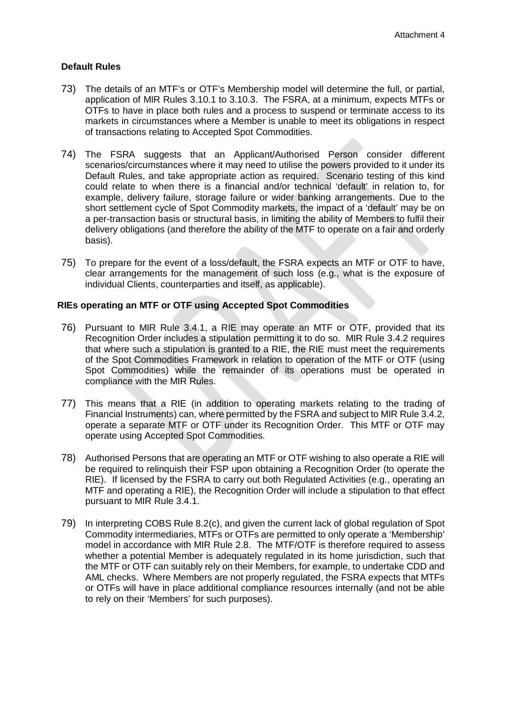## **Default Rules**

- 73) The details of an MTF's or OTF's Membership model will determine the full, or partial, application of MIR Rules 3.10.1 to 3.10.3. The FSRA, at a minimum, expects MTFs or OTFs to have in place both rules and a process to suspend or terminate access to its markets in circumstances where a Member is unable to meet its obligations in respect of transactions relating to Accepted Spot Commodities.
- 74) The FSRA suggests that an Applicant/Authorised Person consider different scenarios/circumstances where it may need to utilise the powers provided to it under its Default Rules, and take appropriate action as required. Scenario testing of this kind could relate to when there is a financial and/or technical 'default' in relation to, for example, delivery failure, storage failure or wider banking arrangements. Due to the short settlement cycle of Spot Commodity markets, the impact of a 'default' may be on a per-transaction basis or structural basis, in limiting the ability of Members to fulfil their delivery obligations (and therefore the ability of the MTF to operate on a fair and orderly basis).
- 75) To prepare for the event of a loss/default, the FSRA expects an MTF or OTF to have, clear arrangements for the management of such loss (e.g., what is the exposure of individual Clients, counterparties and itself, as applicable).

#### <span id="page-18-0"></span>**RIEs operating an MTF or OTF using Accepted Spot Commodities**

- 76) Pursuant to MIR Rule 3.4.1, a RIE may operate an MTF or OTF, provided that its Recognition Order includes a stipulation permitting it to do so. MIR Rule 3.4.2 requires that where such a stipulation is granted to a RIE, the RIE must meet the requirements of the Spot Commodities Framework in relation to operation of the MTF or OTF (using Spot Commodities) while the remainder of its operations must be operated in compliance with the MIR Rules.
- 77) This means that a RIE (in addition to operating markets relating to the trading of Financial Instruments) can, where permitted by the FSRA and subject to MIR Rule 3.4.2, operate a separate MTF or OTF under its Recognition Order. This MTF or OTF may operate using Accepted Spot Commodities.
- 78) Authorised Persons that are operating an MTF or OTF wishing to also operate a RIE will be required to relinquish their FSP upon obtaining a Recognition Order (to operate the RIE). If licensed by the FSRA to carry out both Regulated Activities (e.g., operating an MTF and operating a RIE), the Recognition Order will include a stipulation to that effect pursuant to MIR Rule 3.4.1.
- 79) In interpreting COBS Rule 8.2(c), and given the current lack of global regulation of Spot Commodity intermediaries, MTFs or OTFs are permitted to only operate a 'Membership' model in accordance with MIR Rule 2.8. The MTF/OTF is therefore required to assess whether a potential Member is adequately regulated in its home jurisdiction, such that the MTF or OTF can suitably rely on their Members, for example, to undertake CDD and AML checks. Where Members are not properly regulated, the FSRA expects that MTFs or OTFs will have in place additional compliance resources internally (and not be able to rely on their 'Members' for such purposes).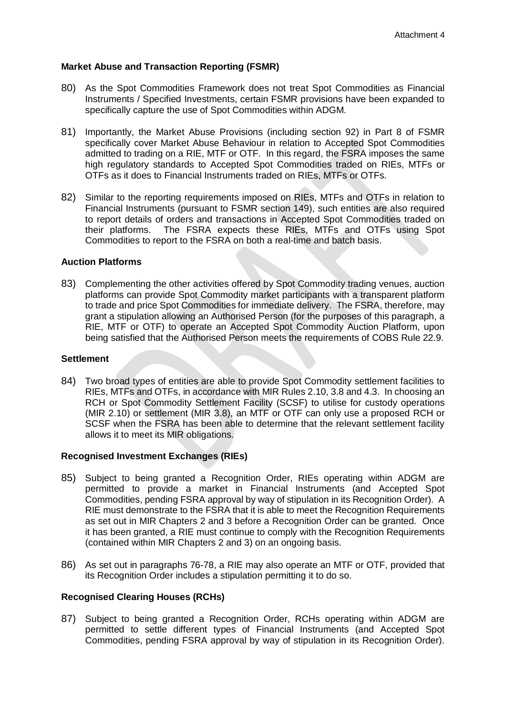#### <span id="page-19-0"></span>**Market Abuse and Transaction Reporting (FSMR)**

- 80) As the Spot Commodities Framework does not treat Spot Commodities as Financial Instruments / Specified Investments, certain FSMR provisions have been expanded to specifically capture the use of Spot Commodities within ADGM.
- 81) Importantly, the Market Abuse Provisions (including section 92) in Part 8 of FSMR specifically cover Market Abuse Behaviour in relation to Accepted Spot Commodities admitted to trading on a RIE, MTF or OTF. In this regard, the FSRA imposes the same high regulatory standards to Accepted Spot Commodities traded on RIEs, MTFs or OTFs as it does to Financial Instruments traded on RIEs, MTFs or OTFs.
- 82) Similar to the reporting requirements imposed on RIEs, MTFs and OTFs in relation to Financial Instruments (pursuant to FSMR section 149), such entities are also required to report details of orders and transactions in Accepted Spot Commodities traded on their platforms. The FSRA expects these RIEs, MTFs and OTFs using Spot Commodities to report to the FSRA on both a real-time and batch basis.

#### <span id="page-19-1"></span>**Auction Platforms**

83) Complementing the other activities offered by Spot Commodity trading venues, auction platforms can provide Spot Commodity market participants with a transparent platform to trade and price Spot Commodities for immediate delivery. The FSRA, therefore, may grant a stipulation allowing an Authorised Person (for the purposes of this paragraph, a RIE, MTF or OTF) to operate an Accepted Spot Commodity Auction Platform, upon being satisfied that the Authorised Person meets the requirements of COBS Rule 22.9.

#### <span id="page-19-2"></span>**Settlement**

84) Two broad types of entities are able to provide Spot Commodity settlement facilities to RIEs, MTFs and OTFs, in accordance with MIR Rules 2.10, 3.8 and 4.3. In choosing an RCH or Spot Commodity Settlement Facility (SCSF) to utilise for custody operations (MIR 2.10) or settlement (MIR 3.8), an MTF or OTF can only use a proposed RCH or SCSF when the FSRA has been able to determine that the relevant settlement facility allows it to meet its MIR obligations.

#### <span id="page-19-3"></span>**Recognised Investment Exchanges (RIEs)**

- 85) Subject to being granted a Recognition Order, RIEs operating within ADGM are permitted to provide a market in Financial Instruments (and Accepted Spot Commodities, pending FSRA approval by way of stipulation in its Recognition Order). A RIE must demonstrate to the FSRA that it is able to meet the Recognition Requirements as set out in MIR Chapters 2 and 3 before a Recognition Order can be granted. Once it has been granted, a RIE must continue to comply with the Recognition Requirements (contained within MIR Chapters 2 and 3) on an ongoing basis.
- 86) As set out in paragraphs 76-78, a RIE may also operate an MTF or OTF, provided that its Recognition Order includes a stipulation permitting it to do so.

#### <span id="page-19-4"></span>**Recognised Clearing Houses (RCHs)**

87) Subject to being granted a Recognition Order, RCHs operating within ADGM are permitted to settle different types of Financial Instruments (and Accepted Spot Commodities, pending FSRA approval by way of stipulation in its Recognition Order).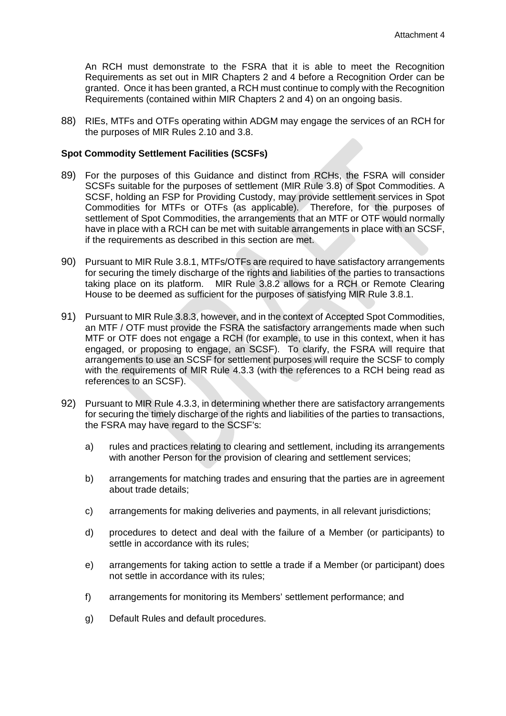An RCH must demonstrate to the FSRA that it is able to meet the Recognition Requirements as set out in MIR Chapters 2 and 4 before a Recognition Order can be granted. Once it has been granted, a RCH must continue to comply with the Recognition Requirements (contained within MIR Chapters 2 and 4) on an ongoing basis.

88) RIEs, MTFs and OTFs operating within ADGM may engage the services of an RCH for the purposes of MIR Rules 2.10 and 3.8.

#### <span id="page-20-0"></span>**Spot Commodity Settlement Facilities (SCSFs)**

- 89) For the purposes of this Guidance and distinct from RCHs, the FSRA will consider SCSFs suitable for the purposes of settlement (MIR Rule 3.8) of Spot Commodities. A SCSF, holding an FSP for Providing Custody, may provide settlement services in Spot Commodities for MTFs or OTFs (as applicable). Therefore, for the purposes of settlement of Spot Commodities, the arrangements that an MTF or OTF would normally have in place with a RCH can be met with suitable arrangements in place with an SCSF, if the requirements as described in this section are met.
- 90) Pursuant to MIR Rule 3.8.1, MTFs/OTFs are required to have satisfactory arrangements for securing the timely discharge of the rights and liabilities of the parties to transactions taking place on its platform. MIR Rule 3.8.2 allows for a RCH or Remote Clearing House to be deemed as sufficient for the purposes of satisfying MIR Rule 3.8.1.
- 91) Pursuant to MIR Rule 3.8.3, however, and in the context of Accepted Spot Commodities, an MTF / OTF must provide the FSRA the satisfactory arrangements made when such MTF or OTF does not engage a RCH (for example, to use in this context, when it has engaged, or proposing to engage, an SCSF). To clarify, the FSRA will require that arrangements to use an SCSF for settlement purposes will require the SCSF to comply with the requirements of MIR Rule 4.3.3 (with the references to a RCH being read as references to an SCSF).
- 92) Pursuant to MIR Rule 4.3.3, in determining whether there are satisfactory arrangements for securing the timely discharge of the rights and liabilities of the parties to transactions, the FSRA may have regard to the SCSF's:
	- a) rules and practices relating to clearing and settlement, including its arrangements with another Person for the provision of clearing and settlement services;
	- b) arrangements for matching trades and ensuring that the parties are in agreement about trade details;
	- c) arrangements for making deliveries and payments, in all relevant jurisdictions;
	- d) procedures to detect and deal with the failure of a Member (or participants) to settle in accordance with its rules;
	- e) arrangements for taking action to settle a trade if a Member (or participant) does not settle in accordance with its rules;
	- f) arrangements for monitoring its Members' settlement performance; and
	- g) Default Rules and default procedures.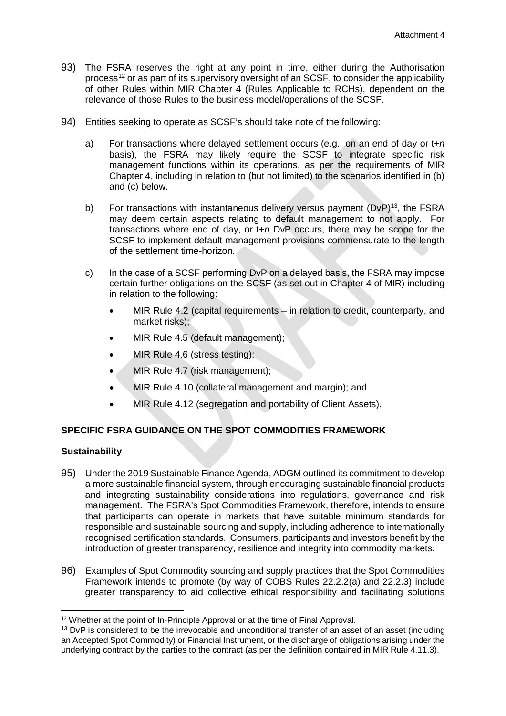- 93) The FSRA reserves the right at any point in time, either during the Authorisation process[12](#page-21-2) or as part of its supervisory oversight of an SCSF, to consider the applicability of other Rules within MIR Chapter 4 (Rules Applicable to RCHs), dependent on the relevance of those Rules to the business model/operations of the SCSF.
- 94) Entities seeking to operate as SCSF's should take note of the following:
	- a) For transactions where delayed settlement occurs (e.g., on an end of day or t+*n*  basis), the FSRA may likely require the SCSF to integrate specific risk management functions within its operations, as per the requirements of MIR Chapter 4, including in relation to (but not limited) to the scenarios identified in (b) and (c) below.
	- b) For transactions with instantaneous delivery versus payment  $(DVP)^{13}$ , the FSRA may deem certain aspects relating to default management to not apply. For transactions where end of day, or t+*n* DvP occurs, there may be scope for the SCSF to implement default management provisions commensurate to the length of the settlement time-horizon.
	- c) In the case of a SCSF performing DvP on a delayed basis, the FSRA may impose certain further obligations on the SCSF (as set out in Chapter 4 of MIR) including in relation to the following:
		- MIR Rule 4.2 (capital requirements in relation to credit, counterparty, and market risks);
		- MIR Rule 4.5 (default management);
		- MIR Rule 4.6 (stress testing);
		- MIR Rule 4.7 (risk management);
		- MIR Rule 4.10 (collateral management and margin); and
		- MIR Rule 4.12 (segregation and portability of Client Assets).

## <span id="page-21-0"></span>**SPECIFIC FSRA GUIDANCE ON THE SPOT COMMODITIES FRAMEWORK**

#### <span id="page-21-1"></span>**Sustainability**

- 95) Under the 2019 Sustainable Finance Agenda, ADGM outlined its commitment to develop a more sustainable financial system, through encouraging sustainable financial products and integrating sustainability considerations into regulations, governance and risk management. The FSRA's Spot Commodities Framework, therefore, intends to ensure that participants can operate in markets that have suitable minimum standards for responsible and sustainable sourcing and supply, including adherence to internationally recognised certification standards. Consumers, participants and investors benefit by the introduction of greater transparency, resilience and integrity into commodity markets.
- 96) Examples of Spot Commodity sourcing and supply practices that the Spot Commodities Framework intends to promote (by way of COBS Rules 22.2.2(a) and 22.2.3) include greater transparency to aid collective ethical responsibility and facilitating solutions

<span id="page-21-2"></span><sup>&</sup>lt;sup>12</sup> Whether at the point of In-Principle Approval or at the time of Final Approval.

<span id="page-21-3"></span><sup>&</sup>lt;sup>13</sup> DvP is considered to be the irrevocable and unconditional transfer of an asset of an asset (including an Accepted Spot Commodity) or Financial Instrument, or the discharge of obligations arising under the underlying contract by the parties to the contract (as per the definition contained in MIR Rule 4.11.3).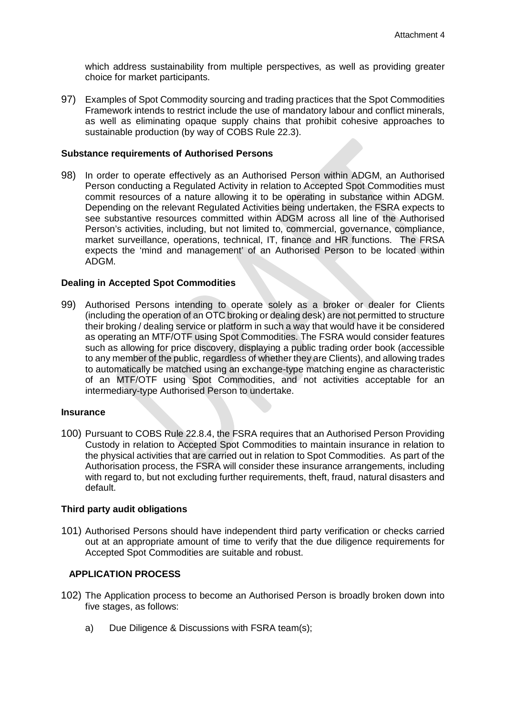which address sustainability from multiple perspectives, as well as providing greater choice for market participants.

97) Examples of Spot Commodity sourcing and trading practices that the Spot Commodities Framework intends to restrict include the use of mandatory labour and conflict minerals, as well as eliminating opaque supply chains that prohibit cohesive approaches to sustainable production (by way of COBS Rule 22.3).

#### <span id="page-22-0"></span>**Substance requirements of Authorised Persons**

98) In order to operate effectively as an Authorised Person within ADGM, an Authorised Person conducting a Regulated Activity in relation to Accepted Spot Commodities must commit resources of a nature allowing it to be operating in substance within ADGM. Depending on the relevant Regulated Activities being undertaken, the FSRA expects to see substantive resources committed within ADGM across all line of the Authorised Person's activities, including, but not limited to, commercial, governance, compliance, market surveillance, operations, technical, IT, finance and HR functions. The FRSA expects the 'mind and management' of an Authorised Person to be located within ADGM.

#### <span id="page-22-1"></span>**Dealing in Accepted Spot Commodities**

99) Authorised Persons intending to operate solely as a broker or dealer for Clients (including the operation of an OTC broking or dealing desk) are not permitted to structure their broking / dealing service or platform in such a way that would have it be considered as operating an MTF/OTF using Spot Commodities. The FSRA would consider features such as allowing for price discovery, displaying a public trading order book (accessible to any member of the public, regardless of whether they are Clients), and allowing trades to automatically be matched using an exchange-type matching engine as characteristic of an MTF/OTF using Spot Commodities, and not activities acceptable for an intermediary-type Authorised Person to undertake.

#### <span id="page-22-2"></span>**Insurance**

100) Pursuant to COBS Rule 22.8.4, the FSRA requires that an Authorised Person Providing Custody in relation to Accepted Spot Commodities to maintain insurance in relation to the physical activities that are carried out in relation to Spot Commodities. As part of the Authorisation process, the FSRA will consider these insurance arrangements, including with regard to, but not excluding further requirements, theft, fraud, natural disasters and default.

#### <span id="page-22-3"></span>**Third party audit obligations**

101) Authorised Persons should have independent third party verification or checks carried out at an appropriate amount of time to verify that the due diligence requirements for Accepted Spot Commodities are suitable and robust.

## <span id="page-22-4"></span>**APPLICATION PROCESS**

- 102) The Application process to become an Authorised Person is broadly broken down into five stages, as follows:
	- a) Due Diligence & Discussions with FSRA team(s);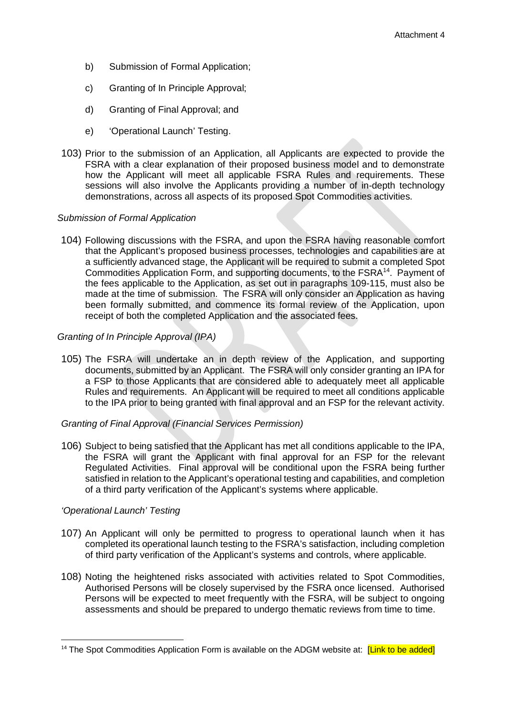- b) Submission of Formal Application;
- c) Granting of In Principle Approval;
- d) Granting of Final Approval; and
- e) 'Operational Launch' Testing.
- 103) Prior to the submission of an Application, all Applicants are expected to provide the FSRA with a clear explanation of their proposed business model and to demonstrate how the Applicant will meet all applicable FSRA Rules and requirements. These sessions will also involve the Applicants providing a number of in-depth technology demonstrations, across all aspects of its proposed Spot Commodities activities.

#### *Submission of Formal Application*

104) Following discussions with the FSRA, and upon the FSRA having reasonable comfort that the Applicant's proposed business processes, technologies and capabilities are at a sufficiently advanced stage, the Applicant will be required to submit a completed Spot Commodities Application Form, and supporting documents, to the FSRA[14.](#page-23-0) Payment of the fees applicable to the Application, as set out in paragraphs 109-115, must also be made at the time of submission. The FSRA will only consider an Application as having been formally submitted, and commence its formal review of the Application, upon receipt of both the completed Application and the associated fees.

#### *Granting of In Principle Approval (IPA)*

105) The FSRA will undertake an in depth review of the Application, and supporting documents, submitted by an Applicant. The FSRA will only consider granting an IPA for a FSP to those Applicants that are considered able to adequately meet all applicable Rules and requirements. An Applicant will be required to meet all conditions applicable to the IPA prior to being granted with final approval and an FSP for the relevant activity.

#### *Granting of Final Approval (Financial Services Permission)*

106) Subject to being satisfied that the Applicant has met all conditions applicable to the IPA, the FSRA will grant the Applicant with final approval for an FSP for the relevant Regulated Activities. Final approval will be conditional upon the FSRA being further satisfied in relation to the Applicant's operational testing and capabilities, and completion of a third party verification of the Applicant's systems where applicable.

#### *'Operational Launch' Testing*

- 107) An Applicant will only be permitted to progress to operational launch when it has completed its operational launch testing to the FSRA's satisfaction, including completion of third party verification of the Applicant's systems and controls, where applicable.
- 108) Noting the heightened risks associated with activities related to Spot Commodities, Authorised Persons will be closely supervised by the FSRA once licensed. Authorised Persons will be expected to meet frequently with the FSRA, will be subject to ongoing assessments and should be prepared to undergo thematic reviews from time to time.

<span id="page-23-0"></span><sup>&</sup>lt;sup>14</sup> The Spot Commodities Application Form is available on the ADGM website at: **[Link to be added]**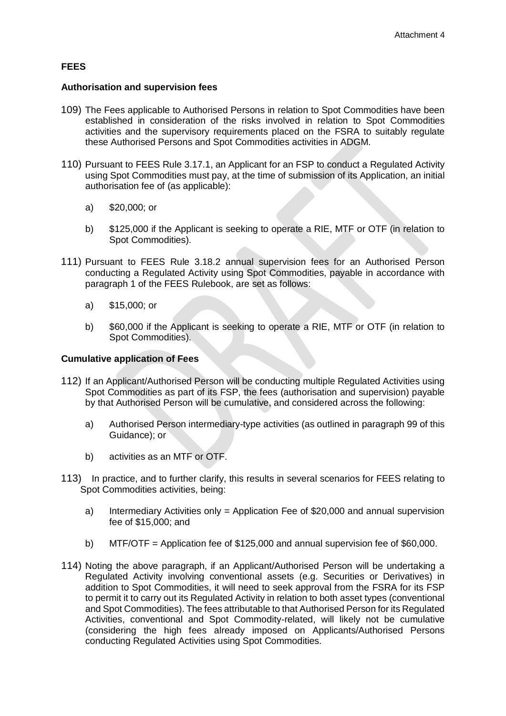## <span id="page-24-0"></span>**FEES**

#### **Authorisation and supervision fees**

- 109) The Fees applicable to Authorised Persons in relation to Spot Commodities have been established in consideration of the risks involved in relation to Spot Commodities activities and the supervisory requirements placed on the FSRA to suitably regulate these Authorised Persons and Spot Commodities activities in ADGM.
- 110) Pursuant to FEES Rule 3.17.1, an Applicant for an FSP to conduct a Regulated Activity using Spot Commodities must pay, at the time of submission of its Application, an initial authorisation fee of (as applicable):
	- a) \$20,000; or
	- b) \$125,000 if the Applicant is seeking to operate a RIE, MTF or OTF (in relation to Spot Commodities).
- 111) Pursuant to FEES Rule 3.18.2 annual supervision fees for an Authorised Person conducting a Regulated Activity using Spot Commodities, payable in accordance with paragraph 1 of the FEES Rulebook, are set as follows:
	- a) \$15,000; or
	- b) \$60,000 if the Applicant is seeking to operate a RIE, MTF or OTF (in relation to Spot Commodities).

#### **Cumulative application of Fees**

- 112) If an Applicant/Authorised Person will be conducting multiple Regulated Activities using Spot Commodities as part of its FSP, the fees (authorisation and supervision) payable by that Authorised Person will be cumulative, and considered across the following:
	- a) Authorised Person intermediary-type activities (as outlined in paragraph 99 of this Guidance); or
	- b) activities as an MTF or OTF.
- 113) In practice, and to further clarify, this results in several scenarios for FEES relating to Spot Commodities activities, being:
	- a) Intermediary Activities only = Application Fee of \$20,000 and annual supervision fee of \$15,000; and
	- b) MTF/OTF = Application fee of \$125,000 and annual supervision fee of \$60,000.
- 114) Noting the above paragraph, if an Applicant/Authorised Person will be undertaking a Regulated Activity involving conventional assets (e.g. Securities or Derivatives) in addition to Spot Commodities, it will need to seek approval from the FSRA for its FSP to permit it to carry out its Regulated Activity in relation to both asset types (conventional and Spot Commodities). The fees attributable to that Authorised Person for its Regulated Activities, conventional and Spot Commodity-related, will likely not be cumulative (considering the high fees already imposed on Applicants/Authorised Persons conducting Regulated Activities using Spot Commodities.